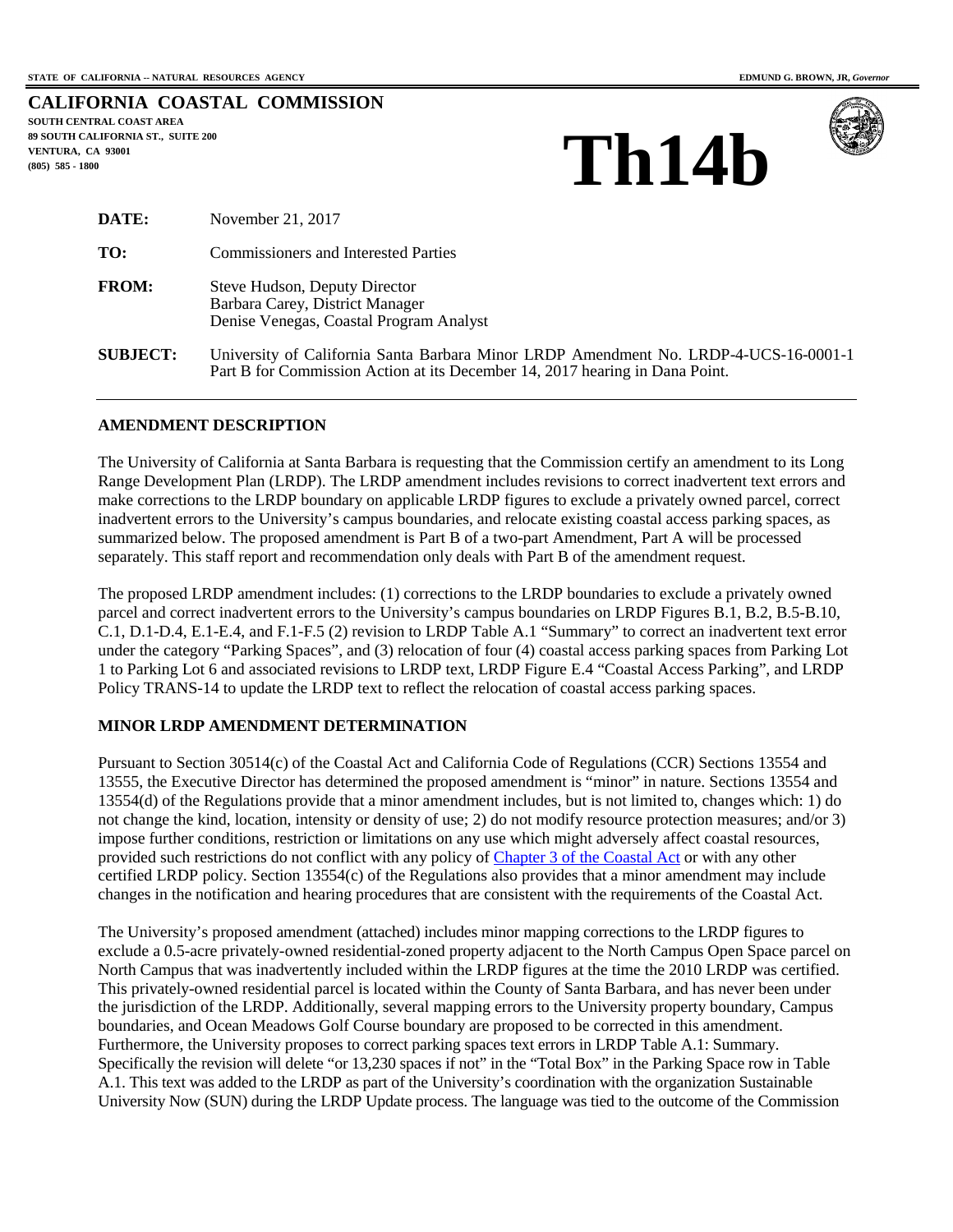|                          |  | <b>CALIFORNIA COASTAL COMMISSION</b> |
|--------------------------|--|--------------------------------------|
| SOUTH CENTRAL COAST AREA |  |                                      |

**89 SOUTH CALIFORNIA ST., SUITE 200 VENTURA, CA 93001 (805) 585 - 1800** 





| DATE:           | November 21, 2017                                                                                                                                                    |
|-----------------|----------------------------------------------------------------------------------------------------------------------------------------------------------------------|
| TO:             | <b>Commissioners and Interested Parties</b>                                                                                                                          |
| <b>FROM:</b>    | Steve Hudson, Deputy Director<br>Barbara Carey, District Manager<br>Denise Venegas, Coastal Program Analyst                                                          |
| <b>SUBJECT:</b> | University of California Santa Barbara Minor LRDP Amendment No. LRDP-4-UCS-16-0001-1<br>Part B for Commission Action at its December 14, 2017 hearing in Dana Point. |

#### **AMENDMENT DESCRIPTION**

The University of California at Santa Barbara is requesting that the Commission certify an amendment to its Long Range Development Plan (LRDP). The LRDP amendment includes revisions to correct inadvertent text errors and make corrections to the LRDP boundary on applicable LRDP figures to exclude a privately owned parcel, correct inadvertent errors to the University's campus boundaries, and relocate existing coastal access parking spaces, as summarized below. The proposed amendment is Part B of a two-part Amendment, Part A will be processed separately. This staff report and recommendation only deals with Part B of the amendment request.

The proposed LRDP amendment includes: (1) corrections to the LRDP boundaries to exclude a privately owned parcel and correct inadvertent errors to the University's campus boundaries on LRDP Figures B.1, B.2, B.5-B.10, C.1, D.1-D.4, E.1-E.4, and F.1-F.5 (2) revision to LRDP Table A.1 "Summary" to correct an inadvertent text error under the category "Parking Spaces", and (3) relocation of four (4) coastal access parking spaces from Parking Lot 1 to Parking Lot 6 and associated revisions to LRDP text, LRDP Figure E.4 "Coastal Access Parking", and LRDP Policy TRANS-14 to update the LRDP text to reflect the relocation of coastal access parking spaces.

### **MINOR LRDP AMENDMENT DETERMINATION**

Pursuant to Section 30514(c) of the Coastal Act and California Code of Regulations (CCR) Sections 13554 and 13555, the Executive Director has determined the proposed amendment is "minor" in nature. Sections 13554 and 13554(d) of the Regulations provide that a minor amendment includes, but is not limited to, changes which: 1) do not change the kind, location, intensity or density of use; 2) do not modify resource protection measures; and/or 3) impose further conditions, restriction or limitations on any use which might adversely affect coastal resources, provided such restrictions do not conflict with any policy of [Chapter 3 of the Coastal Act](http://www.coastal.ca.gov/ccatc.html#linkedcoastalact) or with any other certified LRDP policy. Section 13554(c) of the Regulations also provides that a minor amendment may include changes in the notification and hearing procedures that are consistent with the requirements of the Coastal Act.

The University's proposed amendment (attached) includes minor mapping corrections to the LRDP figures to exclude a 0.5-acre privately-owned residential-zoned property adjacent to the North Campus Open Space parcel on North Campus that was inadvertently included within the LRDP figures at the time the 2010 LRDP was certified. This privately-owned residential parcel is located within the County of Santa Barbara, and has never been under the jurisdiction of the LRDP. Additionally, several mapping errors to the University property boundary, Campus boundaries, and Ocean Meadows Golf Course boundary are proposed to be corrected in this amendment. Furthermore, the University proposes to correct parking spaces text errors in LRDP Table A.1: Summary. Specifically the revision will delete "or 13,230 spaces if not" in the "Total Box" in the Parking Space row in Table A.1. This text was added to the LRDP as part of the University's coordination with the organization Sustainable University Now (SUN) during the LRDP Update process. The language was tied to the outcome of the Commission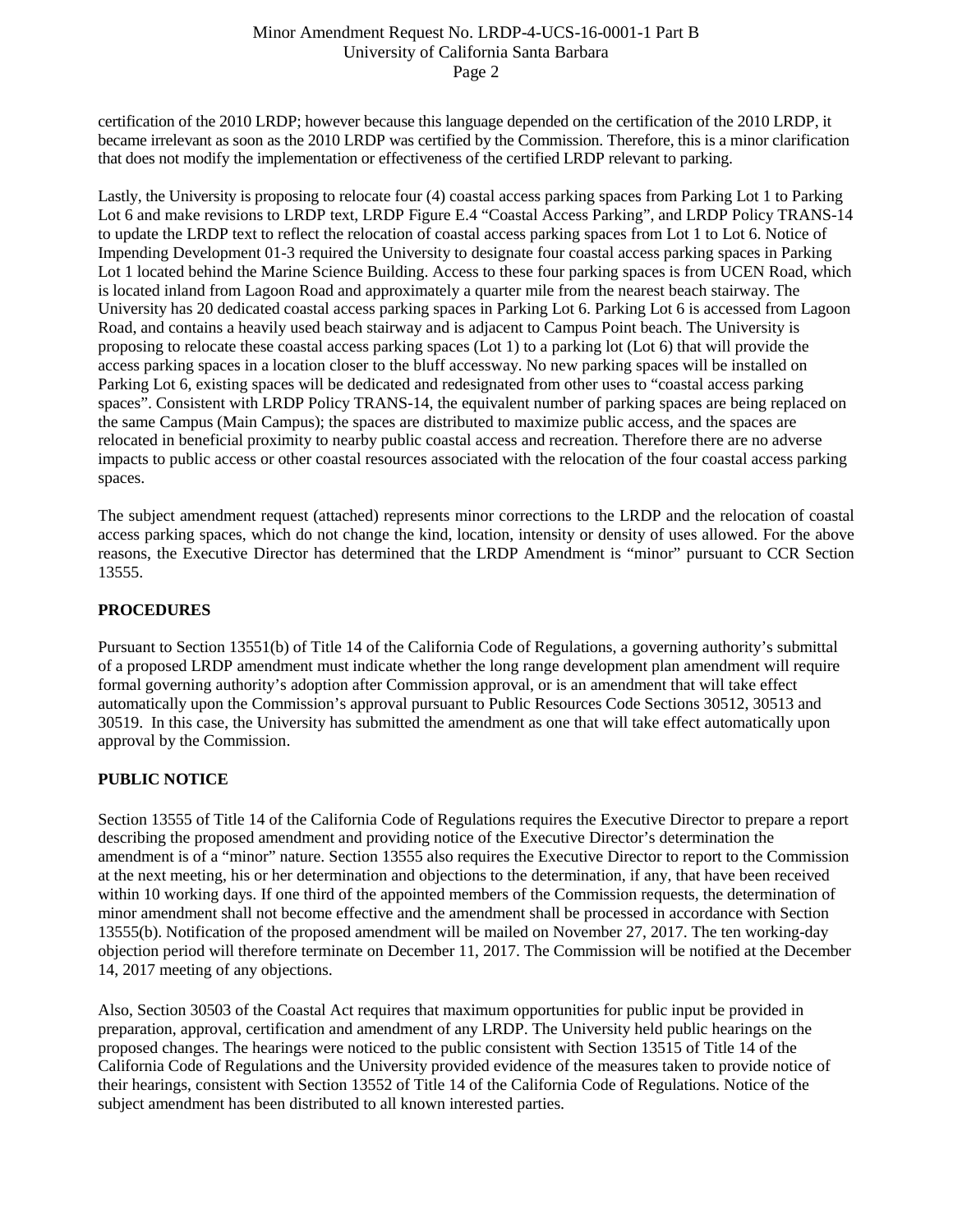### Minor Amendment Request No. LRDP-4-UCS-16-0001-1 Part B University of California Santa Barbara Page 2

certification of the 2010 LRDP; however because this language depended on the certification of the 2010 LRDP, it became irrelevant as soon as the 2010 LRDP was certified by the Commission. Therefore, this is a minor clarification that does not modify the implementation or effectiveness of the certified LRDP relevant to parking.

Lastly, the University is proposing to relocate four (4) coastal access parking spaces from Parking Lot 1 to Parking Lot 6 and make revisions to LRDP text, LRDP Figure E.4 "Coastal Access Parking", and LRDP Policy TRANS-14 to update the LRDP text to reflect the relocation of coastal access parking spaces from Lot 1 to Lot 6. Notice of Impending Development 01-3 required the University to designate four coastal access parking spaces in Parking Lot 1 located behind the Marine Science Building. Access to these four parking spaces is from UCEN Road, which is located inland from Lagoon Road and approximately a quarter mile from the nearest beach stairway. The University has 20 dedicated coastal access parking spaces in Parking Lot 6. Parking Lot 6 is accessed from Lagoon Road, and contains a heavily used beach stairway and is adjacent to Campus Point beach. The University is proposing to relocate these coastal access parking spaces (Lot 1) to a parking lot (Lot 6) that will provide the access parking spaces in a location closer to the bluff accessway. No new parking spaces will be installed on Parking Lot 6, existing spaces will be dedicated and redesignated from other uses to "coastal access parking spaces". Consistent with LRDP Policy TRANS-14, the equivalent number of parking spaces are being replaced on the same Campus (Main Campus); the spaces are distributed to maximize public access, and the spaces are relocated in beneficial proximity to nearby public coastal access and recreation. Therefore there are no adverse impacts to public access or other coastal resources associated with the relocation of the four coastal access parking spaces.

The subject amendment request (attached) represents minor corrections to the LRDP and the relocation of coastal access parking spaces, which do not change the kind, location, intensity or density of uses allowed. For the above reasons, the Executive Director has determined that the LRDP Amendment is "minor" pursuant to CCR Section 13555.

# **PROCEDURES**

Pursuant to Section 13551(b) of Title 14 of the California Code of Regulations, a governing authority's submittal of a proposed LRDP amendment must indicate whether the long range development plan amendment will require formal governing authority's adoption after Commission approval, or is an amendment that will take effect automatically upon the Commission's approval pursuant to Public Resources Code Sections 30512, 30513 and 30519. In this case, the University has submitted the amendment as one that will take effect automatically upon approval by the Commission.

# **PUBLIC NOTICE**

Section 13555 of Title 14 of the California Code of Regulations requires the Executive Director to prepare a report describing the proposed amendment and providing notice of the Executive Director's determination the amendment is of a "minor" nature. Section 13555 also requires the Executive Director to report to the Commission at the next meeting, his or her determination and objections to the determination, if any, that have been received within 10 working days. If one third of the appointed members of the Commission requests, the determination of minor amendment shall not become effective and the amendment shall be processed in accordance with Section 13555(b). Notification of the proposed amendment will be mailed on November 27, 2017. The ten working-day objection period will therefore terminate on December 11, 2017. The Commission will be notified at the December 14, 2017 meeting of any objections.

Also, Section 30503 of the Coastal Act requires that maximum opportunities for public input be provided in preparation, approval, certification and amendment of any LRDP. The University held public hearings on the proposed changes. The hearings were noticed to the public consistent with Section 13515 of Title 14 of the California Code of Regulations and the University provided evidence of the measures taken to provide notice of their hearings, consistent with Section 13552 of Title 14 of the California Code of Regulations. Notice of the subject amendment has been distributed to all known interested parties.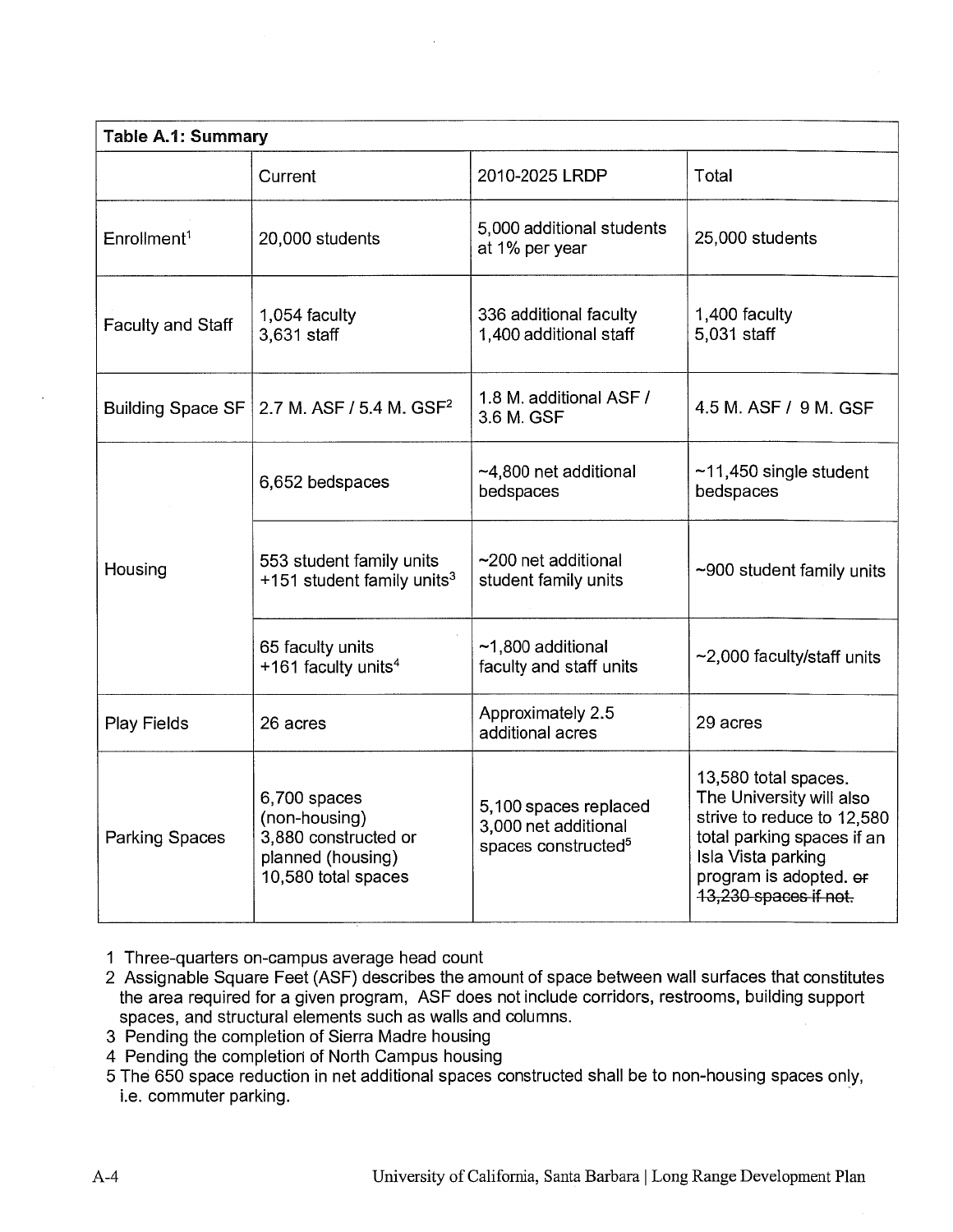| Table A.1: Summary       |                                                                                                   |                                                                                  |                                                                                                                                                                                       |  |  |
|--------------------------|---------------------------------------------------------------------------------------------------|----------------------------------------------------------------------------------|---------------------------------------------------------------------------------------------------------------------------------------------------------------------------------------|--|--|
|                          | Current                                                                                           | 2010-2025 LRDP                                                                   | Total                                                                                                                                                                                 |  |  |
| Enrollment <sup>1</sup>  | 20,000 students                                                                                   | 5,000 additional students<br>at 1% per year                                      | 25,000 students                                                                                                                                                                       |  |  |
| Faculty and Staff        | 1,054 faculty<br>3,631 staff                                                                      | 336 additional faculty<br>1,400 additional staff                                 | 1,400 faculty<br>5,031 staff                                                                                                                                                          |  |  |
| <b>Building Space SF</b> | 2.7 M. ASF / 5.4 M. GSF <sup>2</sup>                                                              | 1.8 M. additional ASF /<br>3.6 M. GSF                                            | 4.5 M, ASF / 9 M, GSF                                                                                                                                                                 |  |  |
|                          | 6,652 bedspaces                                                                                   | $~14,800$ net additional<br>bedspaces                                            | $~11,450$ single student<br>bedspaces                                                                                                                                                 |  |  |
| Housing                  | 553 student family units<br>+151 student family units <sup>3</sup>                                | $\sim$ 200 net additional<br>student family units                                | ~900 student family units                                                                                                                                                             |  |  |
|                          | 65 faculty units<br>+161 faculty units <sup>4</sup>                                               | $~1,800$ additional<br>faculty and staff units                                   | ~2,000 faculty/staff units                                                                                                                                                            |  |  |
| Play Fields              | 26 acres                                                                                          | Approximately 2.5<br>additional acres                                            | 29 acres                                                                                                                                                                              |  |  |
| <b>Parking Spaces</b>    | 6,700 spaces<br>(non-housing)<br>3,880 constructed or<br>planned (housing)<br>10,580 total spaces | 5,100 spaces replaced<br>3,000 net additional<br>spaces constructed <sup>5</sup> | 13,580 total spaces.<br>The University will also<br>strive to reduce to 12,580<br>total parking spaces if an<br>Isla Vista parking<br>program is adopted. er<br>13,230 spaces if not. |  |  |

- 1 Three-quarters on-campus average head count
- 2 Assignable Square Feet (ASF) describes the amount of space between wall surfaces that constitutes the area required for a given program, ASF does not include corridors, restrooms, building support spaces, and structural elements such as walls and columns.
- 3 Pending the completion of Sierra Madre housing
- 4 Pending the completion of North Campus housing
- 5 The 650 space reduction in net additional spaces constructed shall be to non-housing spaces only, i.e. commuter parking.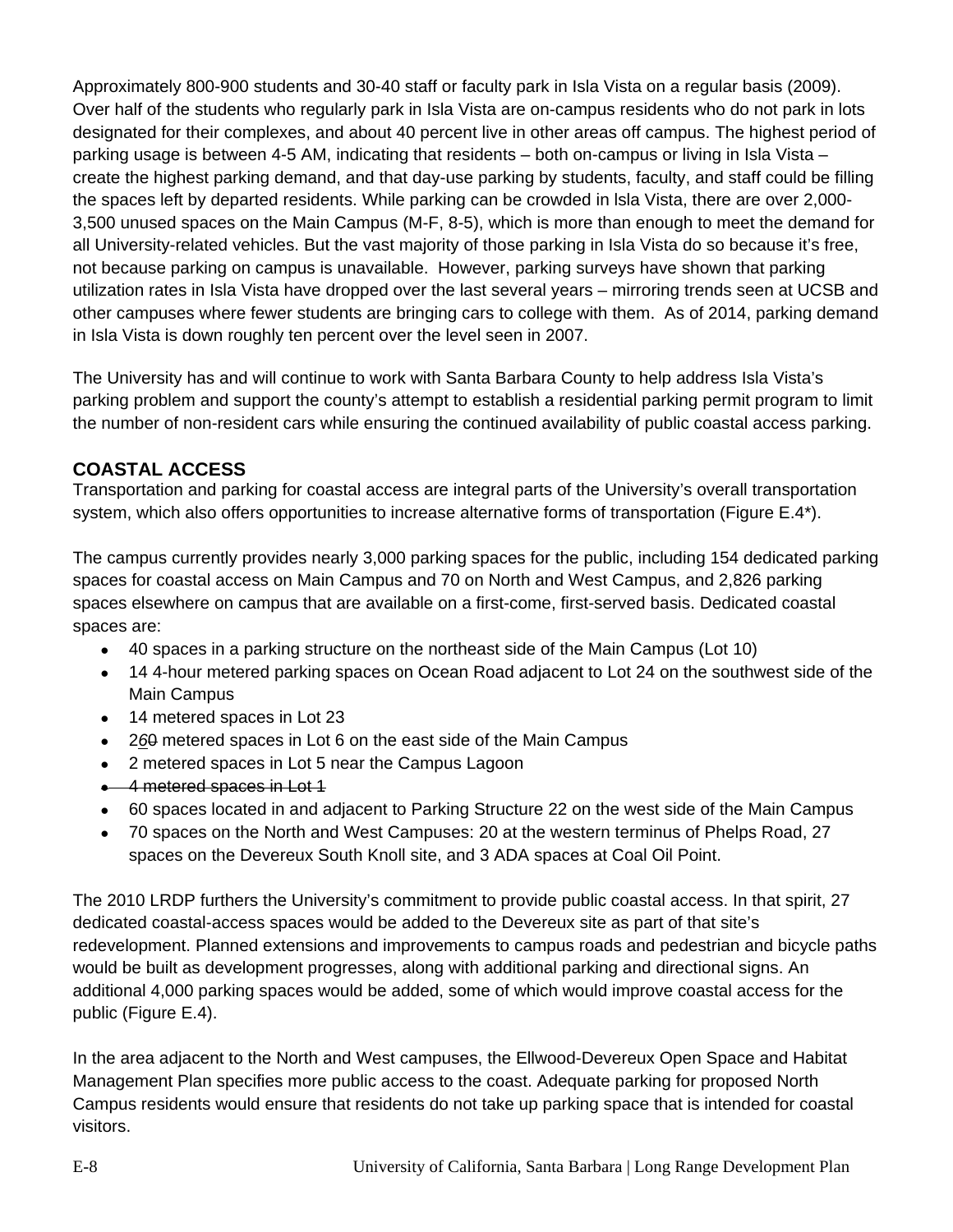Approximately 800-900 students and 30-40 staff or faculty park in Isla Vista on a regular basis (2009). Over half of the students who regularly park in Isla Vista are on-campus residents who do not park in lots designated for their complexes, and about 40 percent live in other areas off campus. The highest period of parking usage is between 4-5 AM, indicating that residents – both on-campus or living in Isla Vista – create the highest parking demand, and that day-use parking by students, faculty, and staff could be filling the spaces left by departed residents. While parking can be crowded in lsla Vista, there are over 2,000- 3,500 unused spaces on the Main Campus (M-F, 8-5), which is more than enough to meet the demand for all University-related vehicles. But the vast majority of those parking in Isla Vista do so because it's free, not because parking on campus is unavailable. However, parking surveys have shown that parking utilization rates in Isla Vista have dropped over the last several years – mirroring trends seen at UCSB and other campuses where fewer students are bringing cars to college with them. As of 2014, parking demand in Isla Vista is down roughly ten percent over the level seen in 2007.

The University has and will continue to work with Santa Barbara County to help address Isla Vista's parking problem and support the county's attempt to establish a residential parking permit program to limit the number of non-resident cars while ensuring the continued availability of public coastal access parking.

# **COASTAL ACCESS**

Transportation and parking for coastal access are integral parts of the University's overall transportation system, which also offers opportunities to increase alternative forms of transportation (Figure E.4\*).

The campus currently provides nearly 3,000 parking spaces for the public, including 154 dedicated parking spaces for coastal access on Main Campus and 70 on North and West Campus, and 2,826 parking spaces elsewhere on campus that are available on a first-come, first-served basis. Dedicated coastal spaces are:

- 40 spaces in a parking structure on the northeast side of the Main Campus (Lot 10)
- 14 4-hour metered parking spaces on Ocean Road adjacent to Lot 24 on the southwest side of the Main Campus
- 14 metered spaces in Lot 23
- 2*6*0 metered spaces in Lot 6 on the east side of the Main Campus
- 2 metered spaces in Lot 5 near the Campus Lagoon
- $\bullet$  4 metered spaces in Lot 1
- 60 spaces located in and adjacent to Parking Structure 22 on the west side of the Main Campus
- 70 spaces on the North and West Campuses: 20 at the western terminus of Phelps Road, 27 spaces on the Devereux South Knoll site, and 3 ADA spaces at Coal Oil Point.

The 2010 LRDP furthers the University's commitment to provide public coastal access. In that spirit, 27 dedicated coastal-access spaces would be added to the Devereux site as part of that site's redevelopment. Planned extensions and improvements to campus roads and pedestrian and bicycle paths would be built as development progresses, along with additional parking and directional signs. An additional 4,000 parking spaces would be added, some of which would improve coastal access for the public (Figure E.4).

In the area adjacent to the North and West campuses, the Ellwood-Devereux Open Space and Habitat Management Plan specifies more public access to the coast. Adequate parking for proposed North Campus residents would ensure that residents do not take up parking space that is intended for coastal visitors.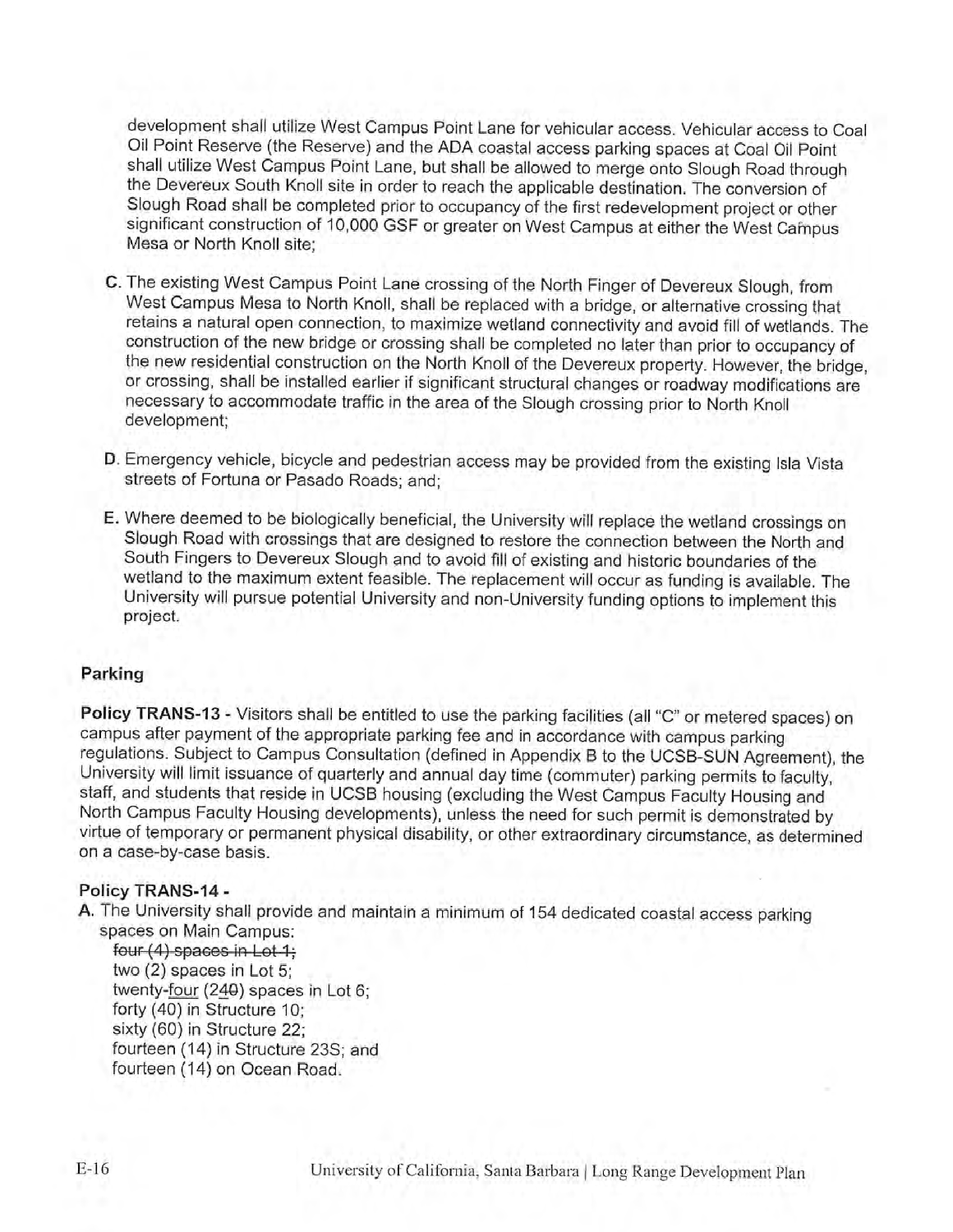development shall utilize West Campus Point Lane for vehicular access. Vehicular access to Coal Oil Point Reserve (the Reserve) and the ADA coastal access parking spaces at Coal Oil Point shall utilize West Campus Point Lane, but shall be allowed to merge onto Slough Road through the Devereux South Knoll site in order to reach the applicable destination. The conversion of Slough Road shall be completed prior to occupancy of the first redevelopment project or other significant construction of 10,000 GSF or greater on West Campus at either the West Campus Mesa or North Knoll site;

- C. The existing West Campus Point Lane crossing of the North Finger of Devereux Slough, from West Campus Mesa to North Knoll, shall be replaced with a bridge, or alternative crossing that retains a natural open connection, to maximize wetland connectivity and avoid fill of wetlands. The construction of the new bridge or crossing shall be completed no later than prior to occupancy of the new residential construction on the North Knoll of the Devereux property. However, the bridge, or crossing, shall be installed earlier if significant structural changes or roadway modifications are necessary to accommodate traffic in the area of the Slough crossing prior to North Knoll development;
- D. Emergency vehicle, bicycle and pedestrian access may be provided from the existing Isla Vista streets of Fortuna or Pasado Roads; and;
- E. Where deemed to be biologically beneficial, the University will replace the wetland crossings on Slough Road with crossings that are designed to restore the connection between the North and South Fingers to Devereux Slough and to avoid fill of existing and historic boundaries of the wetland to the maximum extent feasible. The replacement will occur as funding is available. The University will pursue potential University and non-University funding options to implement this project.

### Parking

Policy TRANS-13 - Visitors shall be entitled to use the parking facilities (all "C" or metered spaces) on campus after payment of the appropriate parking fee and in accordance with campus parking regulations. Subject to Campus Consultation (defined in Appendix B to the UCSB-SUN Agreement), the University will limit issuance of quarterly and annual day time (commuter) parking permits to faculty, staff, and students that reside in UCSB housing (excluding the West Campus Faculty Housing and North Campus Faculty Housing developments), unless the need for such permit is demonstrated by virtue of temporary or permanent physical disability, or other extraordinary circumstance, as determined on a case-by-case basis.

# Policy TRANS-14 -

A. The University shall provide and maintain a minimum of 154 dedicated coastal access parking spaces on Main Campus:

four (4) spaces in Lot 1; two (2) spaces in Lot 5: twenty-four (240) spaces in Lot 6: forty (40) in Structure 10: sixty (60) in Structure 22: fourteen (14) in Structure 23S; and fourteen (14) on Ocean Road.